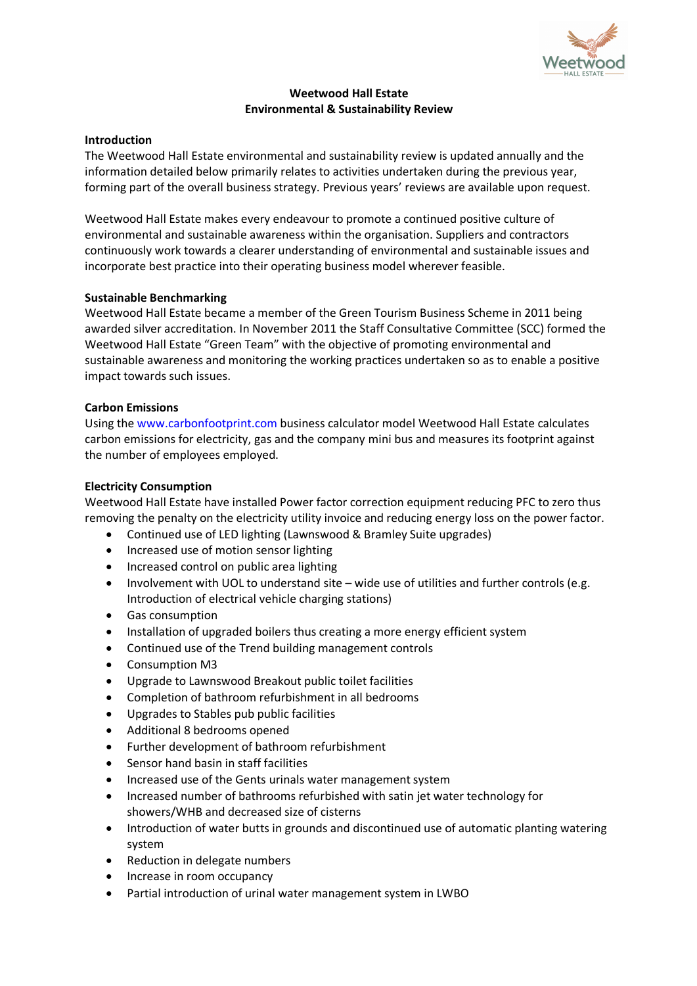

# **Weetwood Hall Estate Environmental & Sustainability Review**

### **Introduction**

The Weetwood Hall Estate environmental and sustainability review is updated annually and the information detailed below primarily relates to activities undertaken during the previous year, forming part of the overall business strategy. Previous years' reviews are available upon request.

Weetwood Hall Estate makes every endeavour to promote a continued positive culture of environmental and sustainable awareness within the organisation. Suppliers and contractors continuously work towards a clearer understanding of environmental and sustainable issues and incorporate best practice into their operating business model wherever feasible.

### **Sustainable Benchmarking**

Weetwood Hall Estate became a member of the Green Tourism Business Scheme in 2011 being awarded silver accreditation. In November 2011 the Staff Consultative Committee (SCC) formed the Weetwood Hall Estate "Green Team" with the objective of promoting environmental and sustainable awareness and monitoring the working practices undertaken so as to enable a positive impact towards such issues.

# **Carbon Emissions**

Using the www.carbonfootprint.com business calculator model Weetwood Hall Estate calculates carbon emissions for electricity, gas and the company mini bus and measures its footprint against the number of employees employed.

### **Electricity Consumption**

Weetwood Hall Estate have installed Power factor correction equipment reducing PFC to zero thus removing the penalty on the electricity utility invoice and reducing energy loss on the power factor.

- Continued use of LED lighting (Lawnswood & Bramley Suite upgrades)
- Increased use of motion sensor lighting
- Increased control on public area lighting
- Involvement with UOL to understand site wide use of utilities and further controls (e.g. Introduction of electrical vehicle charging stations)
- Gas consumption
- Installation of upgraded boilers thus creating a more energy efficient system
- Continued use of the Trend building management controls
- Consumption M3
- Upgrade to Lawnswood Breakout public toilet facilities
- Completion of bathroom refurbishment in all bedrooms
- Upgrades to Stables pub public facilities
- Additional 8 bedrooms opened
- Further development of bathroom refurbishment
- Sensor hand basin in staff facilities
- Increased use of the Gents urinals water management system
- Increased number of bathrooms refurbished with satin jet water technology for showers/WHB and decreased size of cisterns
- Introduction of water butts in grounds and discontinued use of automatic planting watering system
- Reduction in delegate numbers
- Increase in room occupancy
- Partial introduction of urinal water management system in LWBO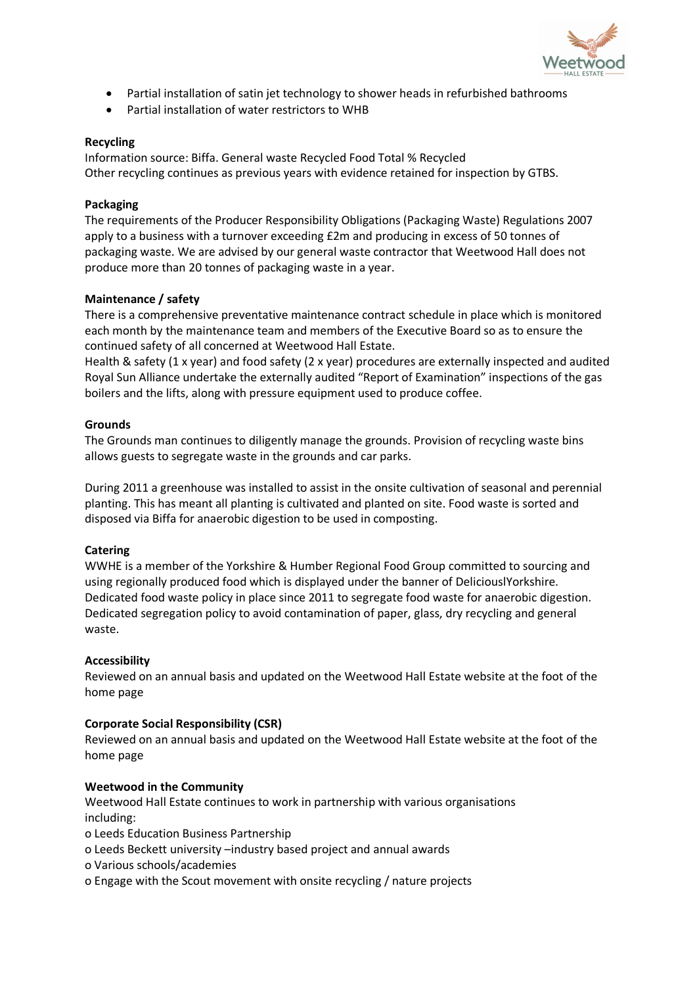

- Partial installation of satin jet technology to shower heads in refurbished bathrooms
- Partial installation of water restrictors to WHB

# **Recycling**

Information source: Biffa. General waste Recycled Food Total % Recycled Other recycling continues as previous years with evidence retained for inspection by GTBS.

### **Packaging**

The requirements of the Producer Responsibility Obligations (Packaging Waste) Regulations 2007 apply to a business with a turnover exceeding £2m and producing in excess of 50 tonnes of packaging waste. We are advised by our general waste contractor that Weetwood Hall does not produce more than 20 tonnes of packaging waste in a year.

# **Maintenance / safety**

There is a comprehensive preventative maintenance contract schedule in place which is monitored each month by the maintenance team and members of the Executive Board so as to ensure the continued safety of all concerned at Weetwood Hall Estate.

Health & safety (1 x year) and food safety (2 x year) procedures are externally inspected and audited Royal Sun Alliance undertake the externally audited "Report of Examination" inspections of the gas boilers and the lifts, along with pressure equipment used to produce coffee.

# **Grounds**

The Grounds man continues to diligently manage the grounds. Provision of recycling waste bins allows guests to segregate waste in the grounds and car parks.

During 2011 a greenhouse was installed to assist in the onsite cultivation of seasonal and perennial planting. This has meant all planting is cultivated and planted on site. Food waste is sorted and disposed via Biffa for anaerobic digestion to be used in composting.

### **Catering**

WWHE is a member of the Yorkshire & Humber Regional Food Group committed to sourcing and using regionally produced food which is displayed under the banner of DeliciouslYorkshire. Dedicated food waste policy in place since 2011 to segregate food waste for anaerobic digestion. Dedicated segregation policy to avoid contamination of paper, glass, dry recycling and general waste.

### **Accessibility**

Reviewed on an annual basis and updated on the Weetwood Hall Estate website at the foot of the home page

### **Corporate Social Responsibility (CSR)**

Reviewed on an annual basis and updated on the Weetwood Hall Estate website at the foot of the home page

### **Weetwood in the Community**

Weetwood Hall Estate continues to work in partnership with various organisations including:

- o Leeds Education Business Partnership
- o Leeds Beckett university –industry based project and annual awards
- o Various schools/academies
- o Engage with the Scout movement with onsite recycling / nature projects